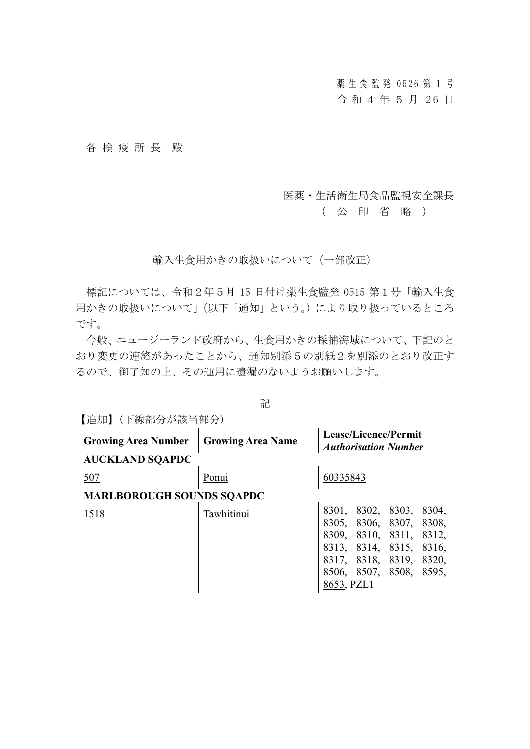薬生食 監 発 0526 第 1 号 令和 4 年 5 月 26 日

## 各 検 疫 所 長 殿

## 医薬・生活衛生局食品監視安全課長

( 公 印 省 略 )

## 輸入生食用かきの取扱いについて(一部改正)

標記については、令和2年5月 15 日付け薬生食監発 0515 第1号「輸入生食 用かきの取扱いについて」(以下「通知」という。)により取り扱っているところ です。

今般、ニュージーランド政府から、生食用かきの採捕海域について、下記のと おり変更の連絡があったことから、通知別添5の別紙2を別添のとおり改正す るので、御了知の上、その運用に遺漏のないようお願いします。

記

| <b>Growing Area Number</b>       | <b>Growing Area Name</b> | Lease/Licence/Permit<br><b>Authorisation Number</b>                                                                                                                          |
|----------------------------------|--------------------------|------------------------------------------------------------------------------------------------------------------------------------------------------------------------------|
| <b>AUCKLAND SQAPDC</b>           |                          |                                                                                                                                                                              |
| 507                              | Ponui                    | 60335843                                                                                                                                                                     |
| <b>MARLBOROUGH SOUNDS SQAPDC</b> |                          |                                                                                                                                                                              |
| 1518                             | Tawhitinui               | 8301, 8302, 8303, 8304,<br>8305, 8306, 8307, 8308,<br>8309, 8310, 8311, 8312,<br>8313, 8314, 8315, 8316,<br>8317, 8318, 8319, 8320,<br>8506, 8507, 8508, 8595,<br>8653, PZL1 |

【追加】(下線部分が該当部分)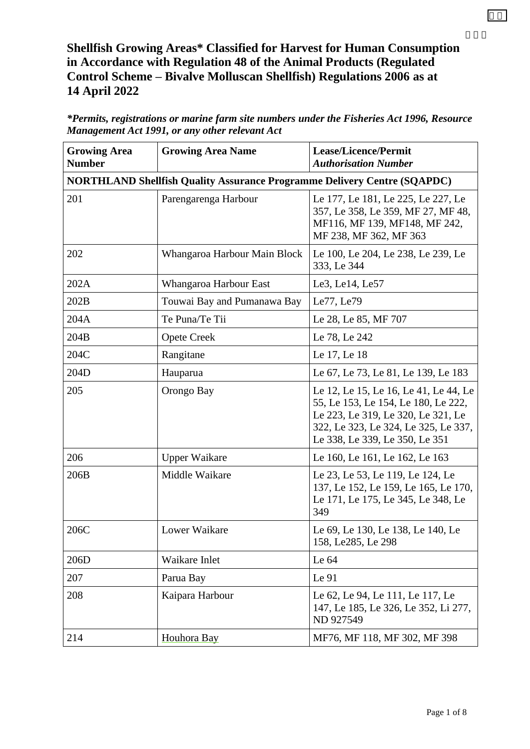## **Shellfish Growing Areas\* Classified for Harvest for Human Consumption in Accordance with Regulation 48 of the Animal Products (Regulated Control Scheme – Bivalve Molluscan Shellfish) Regulations 2006 as at 14 April 2022**

| <b>Growing Area</b><br><b>Number</b> | <b>Growing Area Name</b>                                                        | Lease/Licence/Permit<br><b>Authorisation Number</b>                                                                                                                                          |
|--------------------------------------|---------------------------------------------------------------------------------|----------------------------------------------------------------------------------------------------------------------------------------------------------------------------------------------|
|                                      | <b>NORTHLAND Shellfish Quality Assurance Programme Delivery Centre (SQAPDC)</b> |                                                                                                                                                                                              |
| 201                                  | Parengarenga Harbour                                                            | Le 177, Le 181, Le 225, Le 227, Le<br>357, Le 358, Le 359, MF 27, MF 48,<br>MF116, MF 139, MF148, MF 242,<br>MF 238, MF 362, MF 363                                                          |
| 202                                  | Whangaroa Harbour Main Block                                                    | Le 100, Le 204, Le 238, Le 239, Le<br>333, Le 344                                                                                                                                            |
| 202A                                 | Whangaroa Harbour East                                                          | Le3, Le14, Le57                                                                                                                                                                              |
| 202B                                 | Touwai Bay and Pumanawa Bay                                                     | Le77, Le79                                                                                                                                                                                   |
| 204A                                 | Te Puna/Te Tii                                                                  | Le 28, Le 85, MF 707                                                                                                                                                                         |
| 204B                                 | <b>Opete Creek</b>                                                              | Le 78, Le 242                                                                                                                                                                                |
| 204C                                 | Rangitane                                                                       | Le 17, Le 18                                                                                                                                                                                 |
| 204D                                 | Hauparua                                                                        | Le 67, Le 73, Le 81, Le 139, Le 183                                                                                                                                                          |
| 205                                  | Orongo Bay                                                                      | Le 12, Le 15, Le 16, Le 41, Le 44, Le<br>55, Le 153, Le 154, Le 180, Le 222,<br>Le 223, Le 319, Le 320, Le 321, Le<br>322, Le 323, Le 324, Le 325, Le 337,<br>Le 338, Le 339, Le 350, Le 351 |
| 206                                  | <b>Upper Waikare</b>                                                            | Le 160, Le 161, Le 162, Le 163                                                                                                                                                               |
| 206B                                 | Middle Waikare                                                                  | Le 23, Le 53, Le 119, Le 124, Le<br>137, Le 152, Le 159, Le 165, Le 170,<br>Le 171, Le 175, Le 345, Le 348, Le<br>349                                                                        |
| 206C                                 | Lower Waikare                                                                   | Le 69, Le 130, Le 138, Le 140, Le<br>158, Le285, Le 298                                                                                                                                      |
| 206D                                 | Waikare Inlet                                                                   | Le 64                                                                                                                                                                                        |
| 207                                  | Parua Bay                                                                       | Le 91                                                                                                                                                                                        |
| 208                                  | Kaipara Harbour                                                                 | Le 62, Le 94, Le 111, Le 117, Le<br>147, Le 185, Le 326, Le 352, Li 277,<br>ND 927549                                                                                                        |
| 214                                  | Houhora Bay                                                                     | MF76, MF 118, MF 302, MF 398                                                                                                                                                                 |

*\*Permits, registrations or marine farm site numbers under the Fisheries Act 1996, Resource Management Act 1991, or any other relevant Act*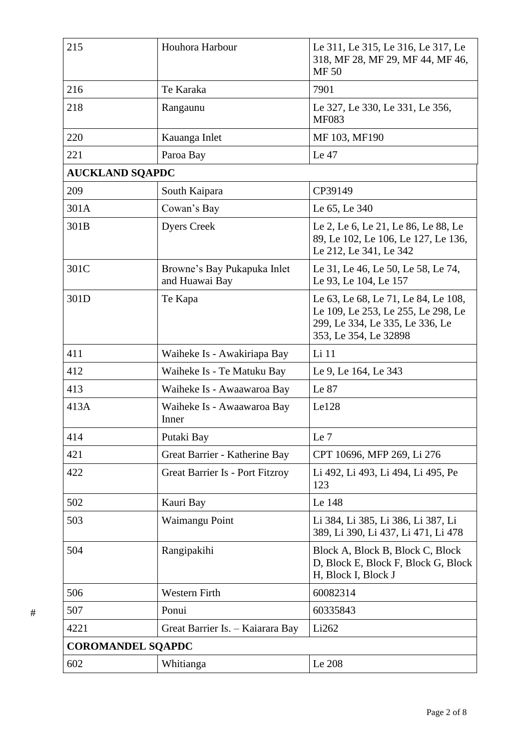| 215                      | Houhora Harbour                               | Le 311, Le 315, Le 316, Le 317, Le<br>318, MF 28, MF 29, MF 44, MF 46,<br><b>MF50</b>                                                 |
|--------------------------|-----------------------------------------------|---------------------------------------------------------------------------------------------------------------------------------------|
| 216                      | Te Karaka                                     | 7901                                                                                                                                  |
| 218                      | Rangaunu                                      | Le 327, Le 330, Le 331, Le 356,<br><b>MF083</b>                                                                                       |
| 220                      | Kauanga Inlet                                 | MF 103, MF190                                                                                                                         |
| 221                      | Paroa Bay                                     | Le 47                                                                                                                                 |
| <b>AUCKLAND SQAPDC</b>   |                                               |                                                                                                                                       |
| 209                      | South Kaipara                                 | CP39149                                                                                                                               |
| 301A                     | Cowan's Bay                                   | Le 65, Le 340                                                                                                                         |
| 301B                     | <b>Dyers Creek</b>                            | Le 2, Le 6, Le 21, Le 86, Le 88, Le<br>89, Le 102, Le 106, Le 127, Le 136,<br>Le 212, Le 341, Le 342                                  |
| 301C                     | Browne's Bay Pukapuka Inlet<br>and Huawai Bay | Le 31, Le 46, Le 50, Le 58, Le 74,<br>Le 93, Le 104, Le 157                                                                           |
| 301D                     | Te Kapa                                       | Le 63, Le 68, Le 71, Le 84, Le 108,<br>Le 109, Le 253, Le 255, Le 298, Le<br>299, Le 334, Le 335, Le 336, Le<br>353, Le 354, Le 32898 |
| 411                      | Waiheke Is - Awakiriapa Bay                   | Li 11                                                                                                                                 |
| 412                      | Waiheke Is - Te Matuku Bay                    | Le 9, Le 164, Le 343                                                                                                                  |
| 413                      | Waiheke Is - Awaawaroa Bay                    | Le 87                                                                                                                                 |
| 413A                     | Waiheke Is - Awaawaroa Bay<br>Inner           | Le128                                                                                                                                 |
| 414                      | Putaki Bay                                    | Le 7                                                                                                                                  |
| 421                      | Great Barrier - Katherine Bay                 | CPT 10696, MFP 269, Li 276                                                                                                            |
| 422                      | <b>Great Barrier Is - Port Fitzroy</b>        | Li 492, Li 493, Li 494, Li 495, Pe<br>123                                                                                             |
| 502                      | Kauri Bay                                     | Le 148                                                                                                                                |
| 503                      | Waimangu Point                                | Li 384, Li 385, Li 386, Li 387, Li<br>389, Li 390, Li 437, Li 471, Li 478                                                             |
| 504                      | Rangipakihi                                   | Block A, Block B, Block C, Block<br>D, Block E, Block F, Block G, Block<br>H, Block I, Block J                                        |
| 506                      | Western Firth                                 | 60082314                                                                                                                              |
| 507                      | Ponui                                         | 60335843                                                                                                                              |
| 4221                     | Great Barrier Is. - Kaiarara Bay              | Li262                                                                                                                                 |
| <b>COROMANDEL SQAPDC</b> |                                               |                                                                                                                                       |
| 602                      | Whitianga                                     | Le 208                                                                                                                                |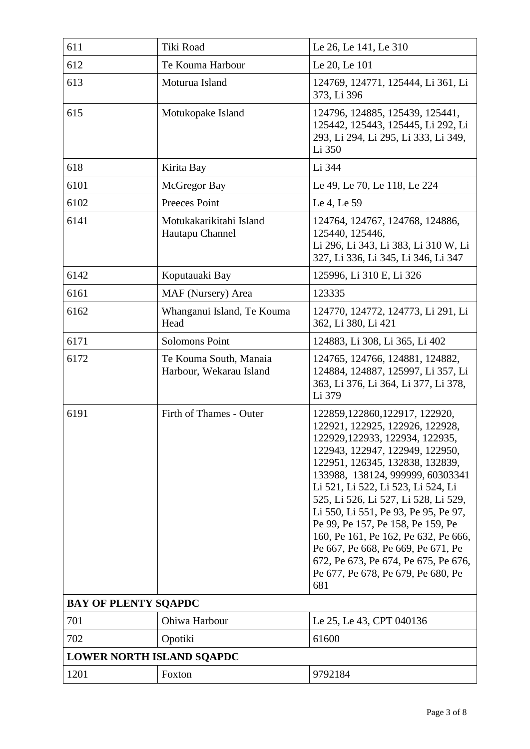| 611                              | Tiki Road                                         | Le 26, Le 141, Le 310                                                                                                                                                                                                                                                                                                                                                                                                                                                                                                                         |
|----------------------------------|---------------------------------------------------|-----------------------------------------------------------------------------------------------------------------------------------------------------------------------------------------------------------------------------------------------------------------------------------------------------------------------------------------------------------------------------------------------------------------------------------------------------------------------------------------------------------------------------------------------|
| 612                              | Te Kouma Harbour                                  | Le 20, Le 101                                                                                                                                                                                                                                                                                                                                                                                                                                                                                                                                 |
| 613                              | Moturua Island                                    | 124769, 124771, 125444, Li 361, Li<br>373, Li 396                                                                                                                                                                                                                                                                                                                                                                                                                                                                                             |
| 615                              | Motukopake Island                                 | 124796, 124885, 125439, 125441,<br>125442, 125443, 125445, Li 292, Li<br>293, Li 294, Li 295, Li 333, Li 349,<br>Li 350                                                                                                                                                                                                                                                                                                                                                                                                                       |
| 618                              | Kirita Bay                                        | Li 344                                                                                                                                                                                                                                                                                                                                                                                                                                                                                                                                        |
| 6101                             | McGregor Bay                                      | Le 49, Le 70, Le 118, Le 224                                                                                                                                                                                                                                                                                                                                                                                                                                                                                                                  |
| 6102                             | Preeces Point                                     | Le 4, Le 59                                                                                                                                                                                                                                                                                                                                                                                                                                                                                                                                   |
| 6141                             | Motukakarikitahi Island<br>Hautapu Channel        | 124764, 124767, 124768, 124886,<br>125440, 125446,<br>Li 296, Li 343, Li 383, Li 310 W, Li<br>327, Li 336, Li 345, Li 346, Li 347                                                                                                                                                                                                                                                                                                                                                                                                             |
| 6142                             | Koputauaki Bay                                    | 125996, Li 310 E, Li 326                                                                                                                                                                                                                                                                                                                                                                                                                                                                                                                      |
| 6161                             | MAF (Nursery) Area                                | 123335                                                                                                                                                                                                                                                                                                                                                                                                                                                                                                                                        |
| 6162                             | Whanganui Island, Te Kouma<br>Head                | 124770, 124772, 124773, Li 291, Li<br>362, Li 380, Li 421                                                                                                                                                                                                                                                                                                                                                                                                                                                                                     |
| 6171                             | <b>Solomons Point</b>                             | 124883, Li 308, Li 365, Li 402                                                                                                                                                                                                                                                                                                                                                                                                                                                                                                                |
| 6172                             | Te Kouma South, Manaia<br>Harbour, Wekarau Island | 124765, 124766, 124881, 124882,<br>124884, 124887, 125997, Li 357, Li<br>363, Li 376, Li 364, Li 377, Li 378,<br>Li 379                                                                                                                                                                                                                                                                                                                                                                                                                       |
| 6191                             | Firth of Thames - Outer                           | 122859, 122860, 122917, 122920,<br>122921, 122925, 122926, 122928,<br>122929, 122933, 122934, 122935,<br>122943, 122947, 122949, 122950,<br>122951, 126345, 132838, 132839,<br>133988, 138124, 999999, 60303341<br>Li 521, Li 522, Li 523, Li 524, Li<br>525, Li 526, Li 527, Li 528, Li 529,<br>Li 550, Li 551, Pe 93, Pe 95, Pe 97,<br>Pe 99, Pe 157, Pe 158, Pe 159, Pe<br>160, Pe 161, Pe 162, Pe 632, Pe 666,<br>Pe 667, Pe 668, Pe 669, Pe 671, Pe<br>672, Pe 673, Pe 674, Pe 675, Pe 676,<br>Pe 677, Pe 678, Pe 679, Pe 680, Pe<br>681 |
| <b>BAY OF PLENTY SQAPDC</b>      |                                                   |                                                                                                                                                                                                                                                                                                                                                                                                                                                                                                                                               |
| 701                              | Ohiwa Harbour                                     | Le 25, Le 43, CPT 040136                                                                                                                                                                                                                                                                                                                                                                                                                                                                                                                      |
| 702                              | Opotiki                                           | 61600                                                                                                                                                                                                                                                                                                                                                                                                                                                                                                                                         |
| <b>LOWER NORTH ISLAND SQAPDC</b> |                                                   |                                                                                                                                                                                                                                                                                                                                                                                                                                                                                                                                               |
| 1201                             | Foxton                                            | 9792184                                                                                                                                                                                                                                                                                                                                                                                                                                                                                                                                       |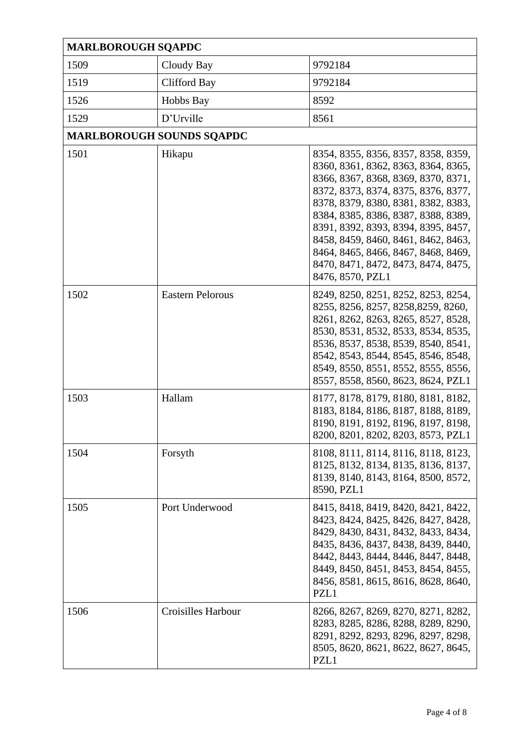| <b>MARLBOROUGH SQAPDC</b> |                                  |                                                                                                                                                                                                                                                                                                                                                                                                                        |
|---------------------------|----------------------------------|------------------------------------------------------------------------------------------------------------------------------------------------------------------------------------------------------------------------------------------------------------------------------------------------------------------------------------------------------------------------------------------------------------------------|
| 1509                      | Cloudy Bay                       | 9792184                                                                                                                                                                                                                                                                                                                                                                                                                |
| 1519                      | Clifford Bay                     | 9792184                                                                                                                                                                                                                                                                                                                                                                                                                |
| 1526                      | Hobbs Bay                        | 8592                                                                                                                                                                                                                                                                                                                                                                                                                   |
| 1529                      | D'Urville                        | 8561                                                                                                                                                                                                                                                                                                                                                                                                                   |
|                           | <b>MARLBOROUGH SOUNDS SQAPDC</b> |                                                                                                                                                                                                                                                                                                                                                                                                                        |
| 1501                      | Hikapu                           | 8354, 8355, 8356, 8357, 8358, 8359,<br>8360, 8361, 8362, 8363, 8364, 8365,<br>8366, 8367, 8368, 8369, 8370, 8371,<br>8372, 8373, 8374, 8375, 8376, 8377,<br>8378, 8379, 8380, 8381, 8382, 8383,<br>8384, 8385, 8386, 8387, 8388, 8389,<br>8391, 8392, 8393, 8394, 8395, 8457,<br>8458, 8459, 8460, 8461, 8462, 8463,<br>8464, 8465, 8466, 8467, 8468, 8469,<br>8470, 8471, 8472, 8473, 8474, 8475,<br>8476, 8570, PZL1 |
| 1502                      | <b>Eastern Pelorous</b>          | 8249, 8250, 8251, 8252, 8253, 8254,<br>8255, 8256, 8257, 8258, 8259, 8260,<br>8261, 8262, 8263, 8265, 8527, 8528,<br>8530, 8531, 8532, 8533, 8534, 8535,<br>8536, 8537, 8538, 8539, 8540, 8541,<br>8542, 8543, 8544, 8545, 8546, 8548,<br>8549, 8550, 8551, 8552, 8555, 8556,<br>8557, 8558, 8560, 8623, 8624, PZL1                                                                                                    |
| 1503                      | Hallam                           | 8177, 8178, 8179, 8180, 8181, 8182,<br>8183, 8184, 8186, 8187, 8188, 8189,<br>8190, 8191, 8192, 8196, 8197, 8198,<br>8200, 8201, 8202, 8203, 8573, PZL1                                                                                                                                                                                                                                                                |
| 1504                      | Forsyth                          | 8108, 8111, 8114, 8116, 8118, 8123,<br>8125, 8132, 8134, 8135, 8136, 8137,<br>8139, 8140, 8143, 8164, 8500, 8572,<br>8590, PZL1                                                                                                                                                                                                                                                                                        |
| 1505                      | Port Underwood                   | 8415, 8418, 8419, 8420, 8421, 8422,<br>8423, 8424, 8425, 8426, 8427, 8428,<br>8429, 8430, 8431, 8432, 8433, 8434,<br>8435, 8436, 8437, 8438, 8439, 8440,<br>8442, 8443, 8444, 8446, 8447, 8448,<br>8449, 8450, 8451, 8453, 8454, 8455,<br>8456, 8581, 8615, 8616, 8628, 8640,<br>PZL1                                                                                                                                  |
| 1506                      | <b>Croisilles Harbour</b>        | 8266, 8267, 8269, 8270, 8271, 8282,<br>8283, 8285, 8286, 8288, 8289, 8290,<br>8291, 8292, 8293, 8296, 8297, 8298,<br>8505, 8620, 8621, 8622, 8627, 8645,<br>PZL1                                                                                                                                                                                                                                                       |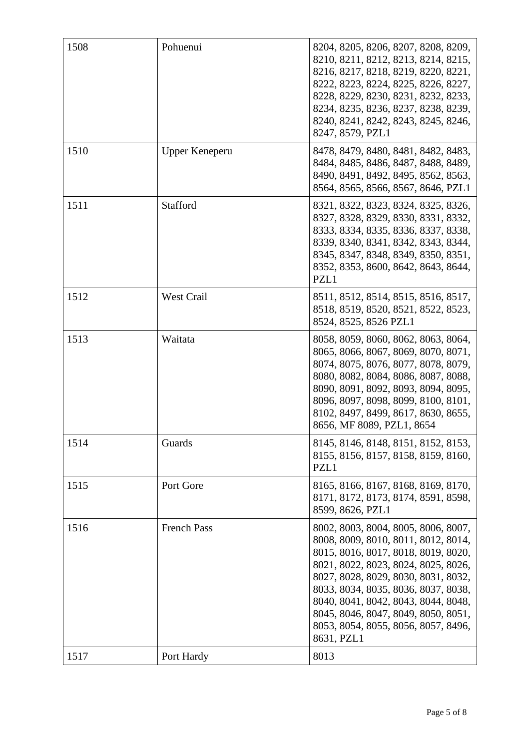| 1508 | Pohuenui           | 8204, 8205, 8206, 8207, 8208, 8209,<br>8210, 8211, 8212, 8213, 8214, 8215,<br>8216, 8217, 8218, 8219, 8220, 8221,<br>8222, 8223, 8224, 8225, 8226, 8227,<br>8228, 8229, 8230, 8231, 8232, 8233,<br>8234, 8235, 8236, 8237, 8238, 8239,<br>8240, 8241, 8242, 8243, 8245, 8246,<br>8247, 8579, PZL1                                                                         |
|------|--------------------|---------------------------------------------------------------------------------------------------------------------------------------------------------------------------------------------------------------------------------------------------------------------------------------------------------------------------------------------------------------------------|
| 1510 | Upper Keneperu     | 8478, 8479, 8480, 8481, 8482, 8483,<br>8484, 8485, 8486, 8487, 8488, 8489,<br>8490, 8491, 8492, 8495, 8562, 8563,<br>8564, 8565, 8566, 8567, 8646, PZL1                                                                                                                                                                                                                   |
| 1511 | Stafford           | 8321, 8322, 8323, 8324, 8325, 8326,<br>8327, 8328, 8329, 8330, 8331, 8332,<br>8333, 8334, 8335, 8336, 8337, 8338,<br>8339, 8340, 8341, 8342, 8343, 8344,<br>8345, 8347, 8348, 8349, 8350, 8351,<br>8352, 8353, 8600, 8642, 8643, 8644,<br>PZL1                                                                                                                            |
| 1512 | <b>West Crail</b>  | 8511, 8512, 8514, 8515, 8516, 8517,<br>8518, 8519, 8520, 8521, 8522, 8523,<br>8524, 8525, 8526 PZL1                                                                                                                                                                                                                                                                       |
| 1513 | Waitata            | 8058, 8059, 8060, 8062, 8063, 8064,<br>8065, 8066, 8067, 8069, 8070, 8071,<br>8074, 8075, 8076, 8077, 8078, 8079,<br>8080, 8082, 8084, 8086, 8087, 8088,<br>8090, 8091, 8092, 8093, 8094, 8095,<br>8096, 8097, 8098, 8099, 8100, 8101,<br>8102, 8497, 8499, 8617, 8630, 8655,<br>8656, MF 8089, PZL1, 8654                                                                |
| 1514 | Guards             | 8145, 8146, 8148, 8151, 8152, 8153,<br>8155, 8156, 8157, 8158, 8159, 8160,<br>PZL1                                                                                                                                                                                                                                                                                        |
| 1515 | Port Gore          | 8165, 8166, 8167, 8168, 8169, 8170,<br>8171, 8172, 8173, 8174, 8591, 8598,<br>8599, 8626, PZL1                                                                                                                                                                                                                                                                            |
| 1516 | <b>French Pass</b> | 8002, 8003, 8004, 8005, 8006, 8007,<br>8008, 8009, 8010, 8011, 8012, 8014,<br>8015, 8016, 8017, 8018, 8019, 8020,<br>8021, 8022, 8023, 8024, 8025, 8026,<br>8027, 8028, 8029, 8030, 8031, 8032,<br>8033, 8034, 8035, 8036, 8037, 8038,<br>8040, 8041, 8042, 8043, 8044, 8048,<br>8045, 8046, 8047, 8049, 8050, 8051,<br>8053, 8054, 8055, 8056, 8057, 8496,<br>8631, PZL1 |
| 1517 | Port Hardy         | 8013                                                                                                                                                                                                                                                                                                                                                                      |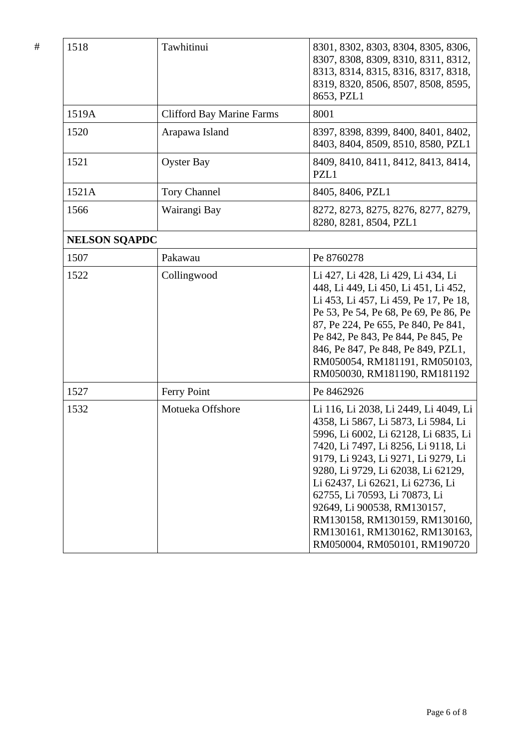| 1518                 | Tawhitinui                       | 8301, 8302, 8303, 8304, 8305, 8306,<br>8307, 8308, 8309, 8310, 8311, 8312,<br>8313, 8314, 8315, 8316, 8317, 8318,<br>8319, 8320, 8506, 8507, 8508, 8595,<br>8653, PZL1                                                                                                                                                                                                                                                                           |
|----------------------|----------------------------------|--------------------------------------------------------------------------------------------------------------------------------------------------------------------------------------------------------------------------------------------------------------------------------------------------------------------------------------------------------------------------------------------------------------------------------------------------|
| 1519A                | <b>Clifford Bay Marine Farms</b> | 8001                                                                                                                                                                                                                                                                                                                                                                                                                                             |
| 1520                 | Arapawa Island                   | 8397, 8398, 8399, 8400, 8401, 8402,<br>8403, 8404, 8509, 8510, 8580, PZL1                                                                                                                                                                                                                                                                                                                                                                        |
| 1521                 | <b>Oyster Bay</b>                | 8409, 8410, 8411, 8412, 8413, 8414,<br>PZL1                                                                                                                                                                                                                                                                                                                                                                                                      |
| 1521A                | <b>Tory Channel</b>              | 8405, 8406, PZL1                                                                                                                                                                                                                                                                                                                                                                                                                                 |
| 1566                 | Wairangi Bay                     | 8272, 8273, 8275, 8276, 8277, 8279,<br>8280, 8281, 8504, PZL1                                                                                                                                                                                                                                                                                                                                                                                    |
| <b>NELSON SQAPDC</b> |                                  |                                                                                                                                                                                                                                                                                                                                                                                                                                                  |
| 1507                 | Pakawau                          | Pe 8760278                                                                                                                                                                                                                                                                                                                                                                                                                                       |
| 1522                 | Collingwood                      | Li 427, Li 428, Li 429, Li 434, Li<br>448, Li 449, Li 450, Li 451, Li 452,<br>Li 453, Li 457, Li 459, Pe 17, Pe 18,<br>Pe 53, Pe 54, Pe 68, Pe 69, Pe 86, Pe<br>87, Pe 224, Pe 655, Pe 840, Pe 841,<br>Pe 842, Pe 843, Pe 844, Pe 845, Pe<br>846, Pe 847, Pe 848, Pe 849, PZL1,<br>RM050054, RM181191, RM050103,<br>RM050030, RM181190, RM181192                                                                                                 |
| 1527                 | Ferry Point                      | Pe 8462926                                                                                                                                                                                                                                                                                                                                                                                                                                       |
| 1532                 | Motueka Offshore                 | Li 116, Li 2038, Li 2449, Li 4049, Li<br>4358, Li 5867, Li 5873, Li 5984, Li<br>5996, Li 6002, Li 62128, Li 6835, Li  <br>7420, Li 7497, Li 8256, Li 9118, Li<br>9179, Li 9243, Li 9271, Li 9279, Li<br>9280, Li 9729, Li 62038, Li 62129,<br>Li 62437, Li 62621, Li 62736, Li<br>62755, Li 70593, Li 70873, Li<br>92649, Li 900538, RM130157,<br>RM130158, RM130159, RM130160,<br>RM130161, RM130162, RM130163,<br>RM050004, RM050101, RM190720 |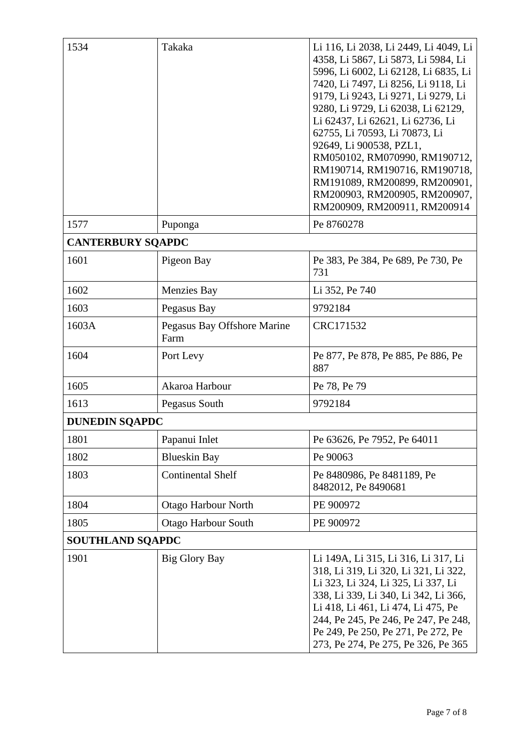| 1534                     | Takaka                              | Li 116, Li 2038, Li 2449, Li 4049, Li<br>4358, Li 5867, Li 5873, Li 5984, Li<br>5996, Li 6002, Li 62128, Li 6835, Li<br>7420, Li 7497, Li 8256, Li 9118, Li<br>9179, Li 9243, Li 9271, Li 9279, Li<br>9280, Li 9729, Li 62038, Li 62129,<br>Li 62437, Li 62621, Li 62736, Li<br>62755, Li 70593, Li 70873, Li<br>92649, Li 900538, PZL1,<br>RM050102, RM070990, RM190712,<br>RM190714, RM190716, RM190718,<br>RM191089, RM200899, RM200901,<br>RM200903, RM200905, RM200907,<br>RM200909, RM200911, RM200914 |
|--------------------------|-------------------------------------|--------------------------------------------------------------------------------------------------------------------------------------------------------------------------------------------------------------------------------------------------------------------------------------------------------------------------------------------------------------------------------------------------------------------------------------------------------------------------------------------------------------|
| 1577                     | Puponga                             | Pe 8760278                                                                                                                                                                                                                                                                                                                                                                                                                                                                                                   |
| <b>CANTERBURY SQAPDC</b> |                                     |                                                                                                                                                                                                                                                                                                                                                                                                                                                                                                              |
| 1601                     | Pigeon Bay                          | Pe 383, Pe 384, Pe 689, Pe 730, Pe<br>731                                                                                                                                                                                                                                                                                                                                                                                                                                                                    |
| 1602                     | <b>Menzies Bay</b>                  | Li 352, Pe 740                                                                                                                                                                                                                                                                                                                                                                                                                                                                                               |
| 1603                     | Pegasus Bay                         | 9792184                                                                                                                                                                                                                                                                                                                                                                                                                                                                                                      |
| 1603A                    | Pegasus Bay Offshore Marine<br>Farm | CRC171532                                                                                                                                                                                                                                                                                                                                                                                                                                                                                                    |
| 1604                     | Port Levy                           | Pe 877, Pe 878, Pe 885, Pe 886, Pe<br>887                                                                                                                                                                                                                                                                                                                                                                                                                                                                    |
| 1605                     | Akaroa Harbour                      | Pe 78, Pe 79                                                                                                                                                                                                                                                                                                                                                                                                                                                                                                 |
| 1613                     | Pegasus South                       | 9792184                                                                                                                                                                                                                                                                                                                                                                                                                                                                                                      |
| <b>DUNEDIN SQAPDC</b>    |                                     |                                                                                                                                                                                                                                                                                                                                                                                                                                                                                                              |
| 1801                     | Papanui Inlet                       | Pe 63626, Pe 7952, Pe 64011                                                                                                                                                                                                                                                                                                                                                                                                                                                                                  |
| 1802                     | <b>Blueskin Bay</b>                 | Pe 90063                                                                                                                                                                                                                                                                                                                                                                                                                                                                                                     |
| 1803                     | <b>Continental Shelf</b>            | Pe 8480986, Pe 8481189, Pe<br>8482012, Pe 8490681                                                                                                                                                                                                                                                                                                                                                                                                                                                            |
| 1804                     | Otago Harbour North                 | PE 900972                                                                                                                                                                                                                                                                                                                                                                                                                                                                                                    |
| 1805                     | <b>Otago Harbour South</b>          | PE 900972                                                                                                                                                                                                                                                                                                                                                                                                                                                                                                    |
| <b>SOUTHLAND SQAPDC</b>  |                                     |                                                                                                                                                                                                                                                                                                                                                                                                                                                                                                              |
| 1901                     | <b>Big Glory Bay</b>                | Li 149A, Li 315, Li 316, Li 317, Li<br>318, Li 319, Li 320, Li 321, Li 322,<br>Li 323, Li 324, Li 325, Li 337, Li<br>338, Li 339, Li 340, Li 342, Li 366,<br>Li 418, Li 461, Li 474, Li 475, Pe<br>244, Pe 245, Pe 246, Pe 247, Pe 248,<br>Pe 249, Pe 250, Pe 271, Pe 272, Pe<br>273, Pe 274, Pe 275, Pe 326, Pe 365                                                                                                                                                                                         |